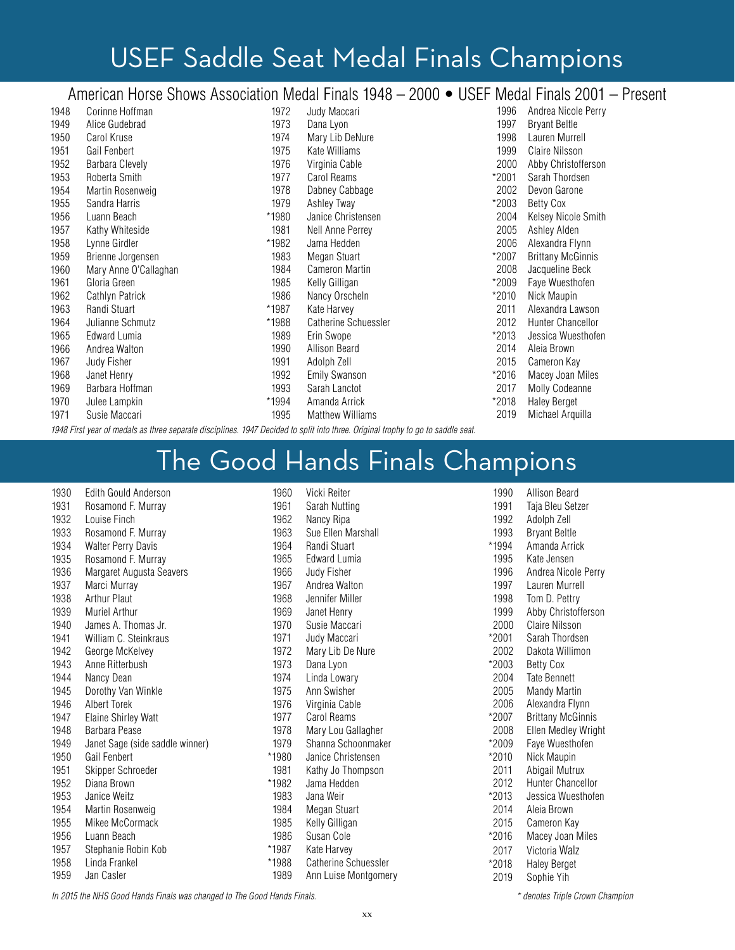# USEF Saddle Seat Medal Finals Champions

## American Horse Shows Association Medal Finals 1948 – 2000 • USEF Medal Finals 2001 – Present

| 1948 | Corinne Hoffman       | 1972  | Judy Maccari                | 1996  | Andrea Nicole Perry      |
|------|-----------------------|-------|-----------------------------|-------|--------------------------|
| 1949 | Alice Gudebrad        | 1973  | Dana Lyon                   | 1997  | <b>Bryant Beltle</b>     |
| 1950 | Carol Kruse           | 1974  | Mary Lib DeNure             | 1998  | Lauren Murrell           |
| 1951 | Gail Fenbert          | 1975  | Kate Williams               | 1999  | <b>Claire Nilsson</b>    |
| 1952 | Barbara Clevely       | 1976  | Virginia Cable              | 2000  | Abby Christofferson      |
| 1953 | Roberta Smith         | 1977  | Carol Reams                 | *2001 | Sarah Thordsen           |
| 1954 | Martin Rosenweig      | 1978  | Dabney Cabbage              | 2002  | Devon Garone             |
| 1955 | Sandra Harris         | 1979  | Ashley Tway                 | *2003 | Betty Cox                |
| 1956 | Luann Beach           | *1980 | Janice Christensen          | 2004  | Kelsey Nicole Smith      |
| 1957 | Kathy Whiteside       | 1981  | Nell Anne Perrey            | 2005  | Ashley Alden             |
| 1958 | Lynne Girdler         | *1982 | Jama Hedden                 | 2006  | Alexandra Flynn          |
| 1959 | Brienne Jorgensen     | 1983  | Megan Stuart                | *2007 | <b>Brittany McGinnis</b> |
| 1960 | Mary Anne O'Callaghan | 1984  | <b>Cameron Martin</b>       | 2008  | Jacqueline Beck          |
| 1961 | Gloria Green          | 1985  | Kelly Gilligan              | *2009 | Faye Wuesthofen          |
| 1962 | Cathlyn Patrick       | 1986  | Nancy Orscheln              | *2010 | Nick Maupin              |
| 1963 | Randi Stuart          | *1987 | Kate Harvey                 | 2011  | Alexandra Lawson         |
| 1964 | Julianne Schmutz      | *1988 | <b>Catherine Schuessler</b> | 2012  | Hunter Chancellor        |
| 1965 | Edward Lumia          | 1989  | Erin Swope                  | *2013 | Jessica Wuesthofen       |
| 1966 | Andrea Walton         | 1990  | <b>Allison Beard</b>        | 2014  | Aleia Brown              |
| 1967 | Judy Fisher           | 1991  | Adolph Zell                 | 2015  | Cameron Kay              |
| 1968 | Janet Henry           | 1992  | Emily Swanson               | *2016 | Macey Joan Miles         |
| 1969 | Barbara Hoffman       | 1993  | Sarah Lanctot               | 2017  | <b>Molly Codeanne</b>    |
| 1970 | Julee Lampkin         | *1994 | Amanda Arrick               | *2018 | <b>Haley Berget</b>      |
| 1971 | Susie Maccari         | 1995  | <b>Matthew Williams</b>     | 2019  | Michael Arquilla         |

*1948 First year of medals as three separate disciplines. 1947 Decided to split into three. Original trophy to go to saddle seat.*

# The Good Hands Finals Champions

| 1930 | Edith Gould Anderson            |      |
|------|---------------------------------|------|
| 1931 | Rosamond F. Murray              |      |
| 1932 | Louise Finch                    |      |
| 1933 | Rosamond F. Murray              |      |
| 1934 | <b>Walter Perry Davis</b>       |      |
| 1935 | Rosamond F. Murray              |      |
| 1936 | Margaret Augusta Seavers        |      |
| 1937 | Marci Murray                    |      |
| 1938 | <b>Arthur Plaut</b>             |      |
| 1939 | Muriel Arthur                   |      |
| 1940 | James A. Thomas Jr.             |      |
| 1941 | William C. Steinkraus           |      |
| 1942 | George McKelvey                 |      |
| 1943 | Anne Ritterbush                 |      |
| 1944 | Nancy Dean                      |      |
| 1945 | Dorothy Van Winkle              |      |
| 1946 | Albert Torek                    |      |
| 1947 | <b>Elaine Shirley Watt</b>      |      |
| 1948 | Barbara Pease                   |      |
| 1949 | Janet Sage (side saddle winner) |      |
| 1950 | Gail Fenbert                    | $*1$ |
| 1951 | Skipper Schroeder               |      |
| 1952 | Diana Brown                     | $*1$ |
| 1953 | Janice Weitz                    |      |
| 1954 | Martin Rosenweig                |      |
| 1955 | Mikee McCormack                 |      |
| 1956 | Luann Beach                     |      |
| 1957 | Stephanie Robin Kob             | *1   |
| 1958 | Linda Frankel                   | *1   |
| 1959 | Jan Casler                      |      |

| 1960  | Vicki Reiter                |
|-------|-----------------------------|
| 1961  | Sarah Nutting               |
| 1962  | Nancy Ripa                  |
| 1963  | Sue Ellen Marshall          |
| 1964  | Randi Stuart                |
| 1965  | Edward Lumia                |
| 1966  | Judy Fisher                 |
| 1967  | Andrea Walton               |
| 1968  | Jennifer Miller             |
| 1969  | Janet Henry                 |
| 1970  | Susie Maccari               |
| 1971  | Judy Maccari                |
| 1972  | Mary Lib De Nure            |
| 1973  | Dana Lyon                   |
| 1974  | Linda Lowary                |
| 1975  | Ann Swisher                 |
| 1976  | Virginia Cable              |
| 1977  | Carol Reams                 |
| 1978  | Mary Lou Gallagher          |
| 1979  | Shanna Schoonmaker          |
| *1980 | Janice Christensen          |
| 1981  | Kathy Jo Thompson           |
| *1982 | Jama Hedden                 |
| 1983  | Jana Weir                   |
| 1984  | Megan Stuart                |
| 1985  | Kelly Gilligan              |
| 1986  | Susan Cole                  |
| *1987 | Kate Harvey                 |
| *1988 | <b>Catherine Schuessler</b> |
| 1989  | Ann Luise Montgomery        |

| 1990<br>1991<br>1992 | <b>Allison Beard</b><br>Taja Bleu Setzer<br>Adolph Zell |
|----------------------|---------------------------------------------------------|
| 1993                 | <b>Bryant Beltle</b>                                    |
| *1994                | Amanda Arrick                                           |
| 1995                 | Kate Jensen                                             |
| 1996                 | Andrea Nicole Perry                                     |
| 1997                 | Lauren Murrell                                          |
| 1998                 | Tom D. Pettry                                           |
| 1999                 | Abby Christofferson                                     |
| 2000                 | Claire Nilsson                                          |
| *2001                | Sarah Thordsen                                          |
| 2002                 | Dakota Willimon                                         |
| *2003                | Betty Cox                                               |
| 2004                 | <b>Tate Bennett</b>                                     |
| 2005                 | Mandy Martin                                            |
| 2006                 | Alexandra Flynn                                         |
| *2007                | <b>Brittany McGinnis</b>                                |
| 2008<br>*2009        | Ellen Medley Wright                                     |
| *2010                | Faye Wuesthofen                                         |
| 2011                 | Nick Maupin<br>Abigail Mutrux                           |
| 2012                 | Hunter Chancellor                                       |
| *2013                | Jessica Wuesthofen                                      |
| 2014                 | Aleia Brown                                             |
| 2015                 | Cameron Kay                                             |
| *2016                | Macey Joan Miles                                        |
| 2017                 | Victoria Walz                                           |
| *2018                | <b>Haley Berget</b>                                     |
| 2019                 | Sophie Yih                                              |
|                      |                                                         |

*In 2015 the NHS Good Hands Finals was changed to The Good Hands Finals.*

*\* denotes Triple Crown Champion*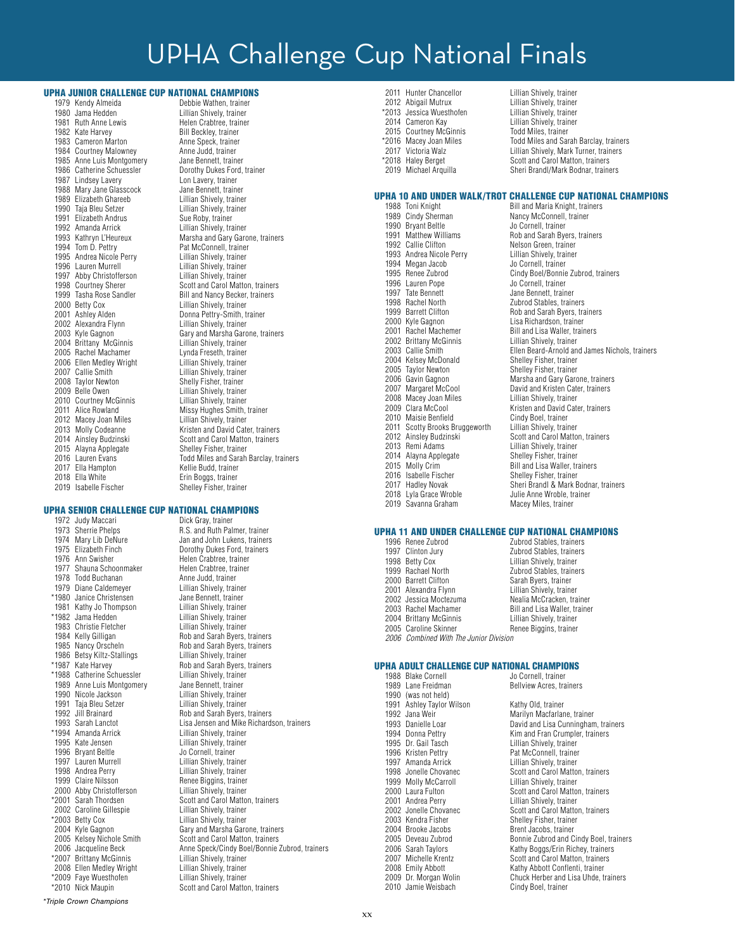# UPHA Challenge Cup National Finals

## **UPHA JUNIOR CHALLENGE CUP NATIONAL CHAMPIONS**<br>1979 Kendy Almeida<br>Debbie Wathen trainer

1979 Kendy Almeida Debbie Wathen, trainer 1980 Jama Hedden 1981 Ruth Anne Lewis Helen Crabtree, trainer<br>1982 Kate Harvev Helen Crabtev Bill Becklev, trainer 1983 Cameron Marton **Anne Speck, trainer**<br>1984 Courtney Malowney **Anne Judd, trainer** 1984 Courtney Malowney **Anne Judd, trainer**<br>1985 Anne Luis Montgomery Jane Bennett, trainer 1985 Anne Luis Montgomery<br>1986 Catherine Schuessler 1987 Lindsey Lavery **Lawery Lon Lavery, trainer**<br>1988 Mary Jane Glasscock Jane Bennett, trainer 1988 Mary Jane Glasscock Jane Bennett, trainer<br>1989 Elizabeth Ghareeb Lillian Shively, trainer 1989 Elizabeth Ghareeb Lillian Shively, trainer<br>1990 Taja Bleu Setzer Lillian Shively, trainer 1990 Taja Bleu Setzer Lillian Shively, trainer<br>1991 Elizabeth Andrus Sue Roby, trainer 1991 Elizabeth Andrus<br>1992 Amanda Arrick 1992 Amanda Arrick Lillian Shively, trainer<br>1993 Kathryn L'Heureux Marsha and Gary Garo 1995 Andrea Nicole Perry<br>1996 Lauren Murrell 1997 Abby Christofferson<br>1998 Courtney Sherer 2000 Betty Cox Lillian Shively, trainer 2001 Ashley Alden Donna Pettry-Smith, trainer 2002 Alexandra Flynn Lillian Shively, trainer 2004 Brittany McGinnis Lillian Shively, trainer 2005 Rachel Machamer Lynda Freseth, trainer 2006 Ellen Medley Wright Lillian Shively, trainer 2007 Callie Smith Lillian Shively, trainer<br>2008 Taylor Newton Shelly Fisher, trainer 2008 Taylor Newton Shelly Fisher, trainer<br>2009 Belle Owen Shelly Fillian Shively, trainer 2010 Courtney McGinnis<br>2011 Alice Rowland 2012 Macey Joan Miles<br>2013 Molly Codeanne 2015 Alayna Applegate<br>2016 Lauren Evans 2017 Ella Hampton<br>2018 Ella White 2018 Ella White Erin Boggs, trainer<br>2019 Isabelle Fischer Erich Shelley Fisher, trai

Bill Beckley, trainer<br>Anne Speck, trainer Dorothy Dukes Ford, trainer<br>Lon Lavery, trainer 1993 Kathryn L'Heureux Marsha and Gary Garone, trainers<br>1994 Tom D. Pettry Marsha Pat McConnell, trainer Pat McConnell, trainer<br>Lillian Shively, trainer Lillian Shively, trainer<br>Lillian Shively, trainer 1998 Courtney Sherer Scott and Carol Matton, trainers<br>1999 Tasha Rose Sandler Bill and Nancy Becker, trainers 1999 Tasha Rose Sandler Bill and Nancy Becker, trainers<br>
2000 Betty Cox<br>
Lillian Shively, trainer 2003 Kyle Gagnon Gary and Marsha Garone, trainers Lillian Shively, trainer<br>Lillian Shively, trainer Missy Hughes Smith, trainer<br>Lillian Shively, trainer Kristen and David Cater, trainers 2014 Ainsley Budzinski Scott and Carol Matton, trainers<br>2015 Alavna Applegate Shelley Fisher, trainer Todd Miles and Sarah Barclay, trainers<br>Kellie Budd, trainer Shelley Fisher, trainer

## **UPHA SENIOR CHALLENGE CUP NATIONAL CHAMPIONS**<br>1972 Judy Maccari **Dick Gray, trainer**

1972 Judy Maccari<br>1973 Sherrie Phelps 1973 Sherrie Phelps R.S. and Ruth Palmer, trainer<br>1974 Mary Lib DeNure Jan and John Lukens, trainers 1974 Mary Lib DeNure<br>1975 Flizabeth Finch **Jan and John Lukens, trainers** 1975 Elizabeth Finch **Dorothy Dukes Ford, trainers**<br>1976 Ann Swisher **Dorothy Belen Crabtree trainer** 1977 Shauna Schoonmaker Helen Crabtree, trainer<br>1978 Todd Buchanan Manne Judd trainer 1978 Todd Buchanan **Anne Judd, trainer**<br>1979 Diane Caldemever **Anne Lillian Shively, trainer** 1979 Diane Caldemeyer \*1980 Janice Christensen Jane Bennett, trainer 1981 Kathy Jo Thompson<br>\*1982 Jama Hedden 1983 Christie Fletcher<br>1984 Kelly Gilligan 1984 Kelly Gilligan Rob and Sarah Byers, trainers 1986 Betsy Kiltz-Stallings<br>\*1987 Kate Harvey \*1988 Catherine Schuessler Lillian Shively, trainer 1989 Anne Luis Montgomery Jane Bennett, trainer<br>1990 Nicole Jackson Lillian Shively, trainer 1990 Nicole Jackson **Lillian Shively, trainer**<br>1991 Taia Bleu Setzer **Lillian Shively, trainer** 1991 Taja Bleu Setzer<br>1992 Jill Brainard 1992 Jill Brainard Rob and Sarah Byers, trainers \*1994 Amanda Arrick Lillian Shively, trainer<br>1995 Kate Jensen Lillian Shively trainer 1996 Bryant Beltle<br>1997 Lauren Murrell 1997 Lauren Murrell **Lillian Shively, trainer**<br>1998 Andrea Perry **Lillian Shively, trainer** 1999 Claire Nilsson **Renee Biggins, trainer**<br>1900 Abby Christofferson Lillian Shively, trainer 2000 Abby Christofferson<br>\*2001 Sarah Thordsen 2002 Caroline Gillespie<br>\*2003 Betty Cox \*2003 Betty Cox Lillian Shively, trainer 2005 Kelsey Nichole Smith Scott and Carol Matton, trainers \*2007 Brittany McGinnis Lillian Shively, trainer 2008 Ellen Medley Wright Lillian Shively, trainer<br>1909 Faye Wuesthofen Lillian Shively, trainer \*2009 Faye Wuesthofen<sup>7</sup><br>\*2010 Nick Maupin

1976 Ann Swisher Helen Crabtree, trainer Lillian Shively, trainer<br>Lillian Shively, trainer Rob and Sarah Byers, trainers<br>Lillian Shively, trainer Rob and Sarah Byers, trainers<br>Lillian Shively, trainer 1993 Sarah Lanctot Lisa Jensen and Mike Richardson, trainers **Lillian Shively, trainer**<br>Jo Cornell, trainer Lillian Shively, trainer Scott and Carol Matton, trainers<br>Lillian Shively, trainer 2004 Kyle Gagnon Gary and Marsha Garone, trainers Anne Speck/Cindy Boel/Bonnie Zubrod, trainers<br>Lillian Shively, trainer

Scott and Carol Matton, trainers

- 
- 

*\*Triple Crown Champions*

2011 Hunter Chancellor<br>2012 Abigail Mutrux \*2013 Jessica Wuesthofen Lillian Shively, trainer 2014 Cameron Kay Lillian Shively, trainer 2015 Courtney McGinnis Todd Miles, trainer

Lillian Shively, trainer<br>Lillian Shively, trainer<br>Lillian Shively, trainer \*2016 Macey Joan Miles Todd Miles and Sarah Barclay, trainers Lillian Shively, Mark Turner, trainers \*2018 Haley Berget Scott and Carol Matton, trainers Sheri Brandl/Mark Bodnar, trainers

## UPHA 10 AND UNDER WALK/TROT CHALLENGE CUP NATIONAL CHAMPIONS<br>1988 Toni Knight<br>Bill and Maria Knight, trainers

1988 Toni Knight **Bill and Maria Knight, trainers**<br>1989 Cindy Sherman **Bill and Marcy McConnell, trainer** 1990 Bryant Beltle<br>1991 Matthew Williams 1991 Matthew Williams<br>
1992 Callie Clifton<br>
1992 Callie Clifton<br>
1992 Callie Clifton<br>
1993 Callie Clifton 1993 Andrea Nicole Perry Lillian Shively, trainer<br>1994 Megan Jacob Lillian Shively, trainer 1994 Megan Jacob<br>1995 Renee Zubrod 1996 Lauren Pope 1997 Tate Bennett<br>1998 Rachel North The Zubrod Stables, trainer 1998 Rachel North **Zubrod Stables, trainers**<br>1999 Rarrett Clifton **Carl Book and Sarah Ryers** trainers 1999 Barrett Clifton **Rob and Sarah Byers, trainers**<br>1900 Kyle Gagnon Robert Risa Bichardson trainer 2001 Rachel Machemer Bill and Lisa Waller, trainers<br>2002 Brittany McGinnis Billian Shively, trainer 2002 Brittany McGinnis Lillian Shively, trainer 2004 Kelsey McDonald Shelley Fisher, trainer<br>2005 Taylor Newton Shelley Fisher, trainer 2005 Taylor Newton Shelley Fisher, trainer<br>2006 Gavin Gagnon Shelley Fisher, trainer 2006 Gavin Gagnon Marsha and Gary Garone, trainers 2008 Macey Joan Miles<br>2009 Clara McCool 2010 Maisie Benfield Cindy Boel, trainer<br>2011 Scotty Brooks Bruggeworth Lillian Shively, trainer 2011 Scotty Brooks Bruggeworth<br>2012 Ainsley Budzinski 2012 Ainsley Budzinski<br>
2013 Remi Adams<br>
Lillian Shively, trainer 2014 Alayna Applegate<br>2015 Molly Crim 2016 Isabelle Fischer<br>2017 Hadley Novak 2019 Savanna Graham

Nancy McConnell, trainer<br>Jo Cornell, trainer Nelson Green, trainer<br>Lillian Shively, trainer Cindy Boel/Bonnie Zubrod, trainers<br>Jo Cornell, trainer Lisa Richardson, trainer Ellen Beard-Arnold and James Nichols, trainers David and Kristen Cater, trainers<br>Lillian Shively, trainer Kristen and David Cater, trainers<br>Cindy Boel, trainer Lillian Shively, trainer<br>Shelley Fisher, trainer Bill and Lisa Waller, trainers<br>Shelley Fisher, trainer 2017 Hadley Novak Sheri Brandl & Mark Bodnar, trainers<br>2018 Lyla Grace Wroble Sheri Bullie Anne Wroble, trainer Julie Anne Wroble, trainer<br>Macey Miles, trainer

#### UPHA 11 AND UNDER CHALLENGE CUP NATIONAL CHAMPIONS<br>1996 Renee Zubrod Zubrod Zubrod Stables, trainers

1996 Renee Zubrod Zubrod Stables, trainers 1997 Clinton Jury **Carlo 2018** Zubrod Stables, trainers<br>1998 Betty Cox **Markow Communist Contract Contract Contract Contract Contract Contract Contract Contract Contr** 1998 Betty Cox (Cox Lillian Shively, trainer<br>1999 Rachael North (Zubrod Stables, trainer 2000 Barrett Clifton<br>2001 Alexandra Flynn 2002 Jessica Moctezuma<br>2003 Rachel Machamer 2003 Rachel Machamer Bill and Lisa Waller, trainer<br>2004 Brittany McGinnis Billian Shively, trainer 2004 Brittany McGinnis<br>
2005 Caroline Skinner<br>
2005 Caroline Skinner<br>
Renee Bionins trainer *2006 Combined With The Junior Division*

Zubrod Stables, trainers<br>Sarah Byers, trainer Lillian Shively, trainer<br>Nealia McCracken, trainer Renee Biggins, trainer

**UPHA ADULT CHALLENGE CUP NATIONAL CHAMPIONS**<br>1988 Blake Cornell **Less Cornell** do Cornell trainer 1988 Blake Cornell<br>1989 Lane Freidman 1990 (was not held) 1991 Ashley Taylor Wilson Kathy Old, trainer 1992 Jana Weir **Marilyn Macfarlane, trainer**<br>1993 Danielle Loar Maril David and Lisa Cunningham 1994 Donna Pettry **Chamber 1994 Bisher Brand Fran Crumpler**, trainers<br>1995 Dr. Gail Tasch **Martia** Lillian Shively, trainer 1995 Dr. Gail Tasch Lillian Shively, trainer<br>1996 Kristen Pettry Lillian Shively, trainer 1996 Kristen Pettry **Pat McConnell, trainer**<br>1997 Amanda Arrick **Patrick** Lillian Shively trainer 1997 Amanda Arrick Lillian Shively, trainer<br>1998 Jonelle Chovanec Lillian Scott and Carol Matto 1999 Molly McCarroll<br>2000 Laura Fulton 2000 Laura Fulton Scott and Carol Matton, trainers<br>
2001 Andrea Perry Scott and Chilian Shively, trainer 2001 Andrea Perry **Lillian Shively, trainer**<br>2002 Jonelle Chovanec **Containery** Scott and Carol Matto 2002 Jonelle Chovanec<br>
2003 Kendra Fisher Shelley Fisher, trainers<br>
Shelley Fisher, trainer 2003 Kendra Fisher Shelley Fisher, trainer<br>2004 Brooke Jacobs Shent Jacobs, trainer 2004 Brooke Jacobs Brent Jacobs, trainer 2007 Michelle Krentz Scott and Carol Matton, trainers<br>2008 Emily Abbott Scott Hathy Abbott Conflenti, trainer 2008 Emily Abbott **Kathy Abbott Conflenti, trainer**<br>2009 Dr. Morgan Wolin **Chuck Herber and Lisa Uhde**, t 2010 Jamie Weisbach

Bellview Acres, trainers

1993 Danielle Loar David and Lisa Cunningham, trainers Scott and Carol Matton, trainers<br>Lillian Shively, trainer 2005 Deveau Zubrod **Bonnie Zubrod and Cindy Boel, trainers**<br>2006 Sarah Taylors **Boelers Conney States** Kathy Boggs/Erin Richey, trainers 2006 Sarah Taylors Kathy Boggs/Erin Richey, trainers<br>2007 Michelle Krentz Scott and Carol Matton, trainers Chuck Herber and Lisa Uhde, trainers<br>Cindy Boel, trainer